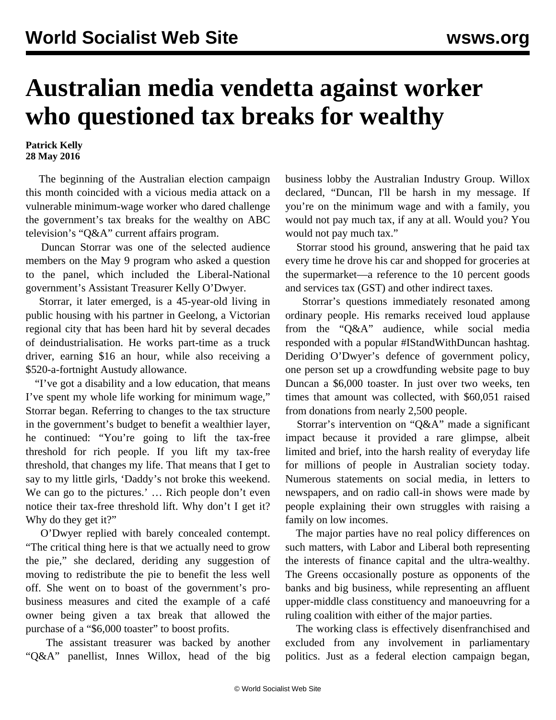## **Australian media vendetta against worker who questioned tax breaks for wealthy**

## **Patrick Kelly 28 May 2016**

 The beginning of the Australian election campaign this month coincided with a vicious media attack on a vulnerable minimum-wage worker who dared challenge the government's tax breaks for the wealthy on ABC television's "Q&A" current affairs program.

 Duncan Storrar was one of the selected audience members on the May 9 program who asked a question to the panel, which included the Liberal-National government's Assistant Treasurer Kelly O'Dwyer.

 Storrar, it later emerged, is a 45-year-old living in public housing with his partner in Geelong, a Victorian regional city that has been hard hit by several decades of deindustrialisation. He works part-time as a truck driver, earning \$16 an hour, while also receiving a \$520-a-fortnight Austudy allowance.

 "I've got a disability and a low education, that means I've spent my whole life working for minimum wage," Storrar began. Referring to changes to the tax structure in the government's budget to benefit a wealthier layer, he continued: "You're going to lift the tax-free threshold for rich people. If you lift my tax-free threshold, that changes my life. That means that I get to say to my little girls, 'Daddy's not broke this weekend. We can go to the pictures.' … Rich people don't even notice their tax-free threshold lift. Why don't I get it? Why do they get it?"

 O'Dwyer replied with barely concealed contempt. "The critical thing here is that we actually need to grow the pie," she declared, deriding any suggestion of moving to redistribute the pie to benefit the less well off. She went on to boast of the government's probusiness measures and cited the example of a café owner being given a tax break that allowed the purchase of a "\$6,000 toaster" to boost profits.

 The assistant treasurer was backed by another "Q&A" panellist, Innes Willox, head of the big business lobby the Australian Industry Group. Willox declared, "Duncan, I'll be harsh in my message. If you're on the minimum wage and with a family, you would not pay much tax, if any at all. Would you? You would not pay much tax."

 Storrar stood his ground, answering that he paid tax every time he drove his car and shopped for groceries at the supermarket—a reference to the 10 percent goods and services tax (GST) and other indirect taxes.

 Storrar's questions immediately resonated among ordinary people. His remarks received loud applause from the "Q&A" audience, while social media responded with a popular #IStandWithDuncan hashtag. Deriding O'Dwyer's defence of government policy, one person set up a crowdfunding website page to buy Duncan a \$6,000 toaster. In just over two weeks, ten times that amount was collected, with \$60,051 raised from donations from nearly 2,500 people.

 Storrar's intervention on "Q&A" made a significant impact because it provided a rare glimpse, albeit limited and brief, into the harsh reality of everyday life for millions of people in Australian society today. Numerous statements on social media, in letters to newspapers, and on radio call-in shows were made by people explaining their own struggles with raising a family on low incomes.

 The major parties have no real policy differences on such matters, with Labor and Liberal both representing the interests of finance capital and the ultra-wealthy. The Greens occasionally posture as opponents of the banks and big business, while representing an affluent upper-middle class constituency and manoeuvring for a ruling coalition with either of the major parties.

 The working class is effectively disenfranchised and excluded from any involvement in parliamentary politics. Just as a federal election campaign began,